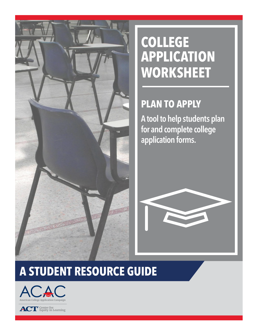

# **COLLEGE APPLICATION WORKSHEET**

## **PLAN TO APPLY**

A tool to help students plan for and complete college application forms.



# **A STUDENT RESOURCE GUIDE**



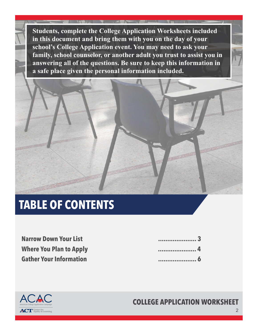**Students, complete the College Application Worksheets included in this document and bring them with you on the day of your school's College Application event. You may need to ask your family, school counselor, or another adult you trust to assist you in answering all of the questions. Be sure to keep this information in a safe place given the personal information included.**



# **TABLE OF CONTENTS**

 **..................... 4 Where You Plan to Apply Narrow Down Your List Gather Your Information**

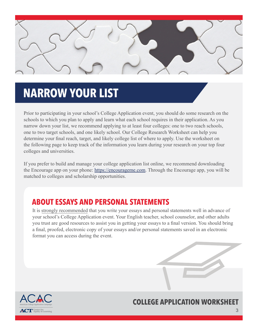

## **NARROW YOUR LIST**

Prior to participating in your school's College Application event, you should do some research on the schools to which you plan to apply and learn what each school requires in their application. As you narrow down your list, we recommend applying to at least four colleges: one to two reach schools, one to two target schools, and one likely school. Our College Research Worksheet can help you determine your final reach, target, and likely college list of where to apply. Use the worksheet on the following page to keep track of the information you learn during your research on your top four colleges and universities.

If you prefer to build and manage your college application list online, we recommend downloading the Encourage app on your phone:<https://encourageme.com>. Through the Encourage app, you will be matched to colleges and scholarship opportunities.

## **ABOUT ESSAYS AND PERSONAL STATEMENTS**

It is strongly recommended that you write your essays and personal statements well in advance of your school's College Application event. Your English teacher, school counselor, and other adults you trust are good resources to assist you in getting your essays to a final version. You should bring a final, proofed, electronic copy of your essays and/or personal statements saved in an electronic format you can access during the event.



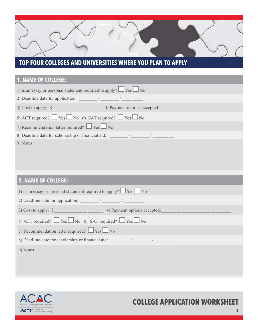### **TOP FOUR COLLEGES AND UNIVERSITIES WHERE YOU PLAN TO APPLY**

### **1. NAME OF COLLEGE:**

| 1) Is an essay or personal statement required to apply? $\Box$ Yes $\Box$ No |  |  |  |  |
|------------------------------------------------------------------------------|--|--|--|--|
|                                                                              |  |  |  |  |
|                                                                              |  |  |  |  |
| 5) ACT required? $\Box$ Yes $\Box$ No 6) SAT required? $\Box$ Yes $\Box$ No  |  |  |  |  |
| 7) Recommendation letter required? $\Box$ Yes $\Box$ No                      |  |  |  |  |
|                                                                              |  |  |  |  |
| 9) Notes                                                                     |  |  |  |  |
|                                                                              |  |  |  |  |
|                                                                              |  |  |  |  |
|                                                                              |  |  |  |  |
| <b>2. NAME OF COLLEGE:</b>                                                   |  |  |  |  |
| 1) Is an essay or personal statement required to apply? $\Box$ Yes $\Box$ No |  |  |  |  |
|                                                                              |  |  |  |  |
|                                                                              |  |  |  |  |
| 5) ACT required? $\Box$ Yes $\Box$ No 6) SAT required? $\Box$ Yes $\Box$ No  |  |  |  |  |
| 7) Recommendation letter required? $\Box$ Yes $\Box$ No                      |  |  |  |  |
| 8) Deadline date for scholarship or financial aid: _______/ ______/ ________ |  |  |  |  |
| 9) Notes                                                                     |  |  |  |  |
|                                                                              |  |  |  |  |
|                                                                              |  |  |  |  |

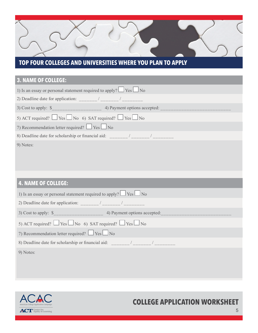### **TOP FOUR COLLEGES AND UNIVERSITIES WHERE YOU PLAN TO APPLY**

### **3. NAME OF COLLEGE:**

| 1) Is an essay or personal statement required to apply? $\Box$ Yes $\Box$ No |  |  |  |  |
|------------------------------------------------------------------------------|--|--|--|--|
|                                                                              |  |  |  |  |
|                                                                              |  |  |  |  |
| 5) ACT required? $\Box$ Yes $\Box$ No 6) SAT required? $\Box$ Yes $\Box$ No  |  |  |  |  |
| 7) Recommendation letter required? $\Box$ Yes $\Box$ No                      |  |  |  |  |
|                                                                              |  |  |  |  |
| 9) Notes:                                                                    |  |  |  |  |
|                                                                              |  |  |  |  |
|                                                                              |  |  |  |  |
|                                                                              |  |  |  |  |
| <b>4. NAME OF COLLEGE:</b>                                                   |  |  |  |  |
| 1) Is an essay or personal statement required to apply? $\Box$ Yes $\Box$ No |  |  |  |  |
|                                                                              |  |  |  |  |
|                                                                              |  |  |  |  |
| 5) ACT required? $\Box$ Yes $\Box$ No 6) SAT required? $\Box$ Yes $\Box$ No  |  |  |  |  |
| 7) Recommendation letter required? $\Box$ Yes $\Box$ No                      |  |  |  |  |
|                                                                              |  |  |  |  |
| 9) Notes:                                                                    |  |  |  |  |
|                                                                              |  |  |  |  |
|                                                                              |  |  |  |  |

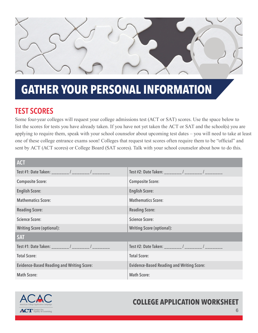

## **GATHER YOUR PERSONAL INFORMATION**

## TEST SCORES

Some four-year colleges will request your college admissions test (ACT or SAT) scores. Use the space below to list the scores for tests you have already taken. If you have not yet taken the ACT or SAT and the school(s) you are applying to require them, speak with your school counselor about upcoming test dates – you will need to take at least one of these college entrance exams soon! Colleges that request test scores often require them to be "official" and sent by ACT (ACT scores) or College Board (SAT scores). Talk with your school counselor about how to do this.

| <b>ACT</b>                                       |                                                  |  |
|--------------------------------------------------|--------------------------------------------------|--|
| Test #1: Date Taken: _______/ _______/ ________  | Test #2: Date Taken: _______/ _______/ ________  |  |
| <b>Composite Score:</b>                          | <b>Composite Score:</b>                          |  |
| <b>English Score:</b>                            | <b>English Score:</b>                            |  |
| <b>Mathematics Score:</b>                        | <b>Mathematics Score:</b>                        |  |
| <b>Reading Score:</b>                            | <b>Reading Score:</b>                            |  |
| <b>Science Score:</b>                            | <b>Science Score:</b>                            |  |
| <b>Writing Score (optional):</b>                 | <b>Writing Score (optional):</b>                 |  |
| <b>SAT</b>                                       |                                                  |  |
| Test #1: Date Taken: _______/ _______/ ________  |                                                  |  |
| <b>Total Score:</b>                              | <b>Total Score:</b>                              |  |
| <b>Evidence-Based Reading and Writing Score:</b> | <b>Evidence-Based Reading and Writing Score:</b> |  |
| <b>Math Score:</b>                               | <b>Math Score:</b>                               |  |

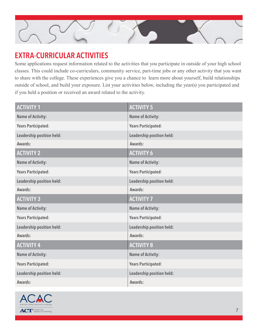

## EXTRA-CURRICULAR ACTIVITIES

Some applications request information related to the activities that you participate in outside of your high school classes. This could include co-curriculars, community service, part-time jobs or any other activity that you want to share with the college. These experiences give you a chance to learn more about yourself, build relationships outside of school, and build your exposure. List your activities below, including the year(s) you participated and if you held a position or received an award related to the activity.

| <b>ACTIVITY 1</b>          | <b>ACTIVITY 5</b>          |
|----------------------------|----------------------------|
| <b>Name of Activity:</b>   | <b>Name of Activity:</b>   |
| <b>Years Participated:</b> | <b>Years Participated:</b> |
| Leadership position held:  | Leadership position held:  |
| Awards:                    | Awards:                    |
| <b>ACTIVITY 2</b>          | <b>ACTIVITY 6</b>          |
| <b>Name of Activity:</b>   | <b>Name of Activity:</b>   |
| <b>Years Participated:</b> | <b>Years Participated:</b> |
| Leadership position held:  | Leadership position held:  |
| Awards:                    | Awards:                    |
| <b>ACTIVITY 3</b>          | <b>ACTIVITY 7</b>          |
| <b>Name of Activity:</b>   | <b>Name of Activity:</b>   |
| <b>Years Participated:</b> | <b>Years Participated:</b> |
| Leadership position held:  | Leadership position held:  |
| Awards:                    | Awards:                    |
| <b>ACTIVITY 4</b>          | <b>ACTIVITY 8</b>          |
| <b>Name of Activity:</b>   | <b>Name of Activity:</b>   |
| <b>Years Participated:</b> | <b>Years Participated:</b> |
| Leadership position held:  | Leadership position held:  |
| Awards:                    | Awards:                    |

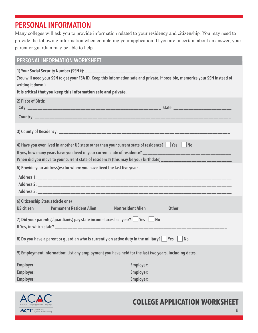## PERSONAL INFORMATION

Many colleges will ask you to provide information related to your residency and citizenship. You may need to provide the following information when completing your application. If you are uncertain about an answer, your parent or guardian may be able to help.

#### PERSONAL INFORMATION WORKSHEET

1) Your Social Security Number (SSN #): \_\_\_ \_\_\_

(You will need your SSN to get your FSA ID. Keep this information safe and private. If possible, memorize your SSN instead of writing it down.)

#### **It is critical that you keep this information safe and private.**

| 2) Place of Birth:                                                                                                                                                                                                  |                  |  |  |  |
|---------------------------------------------------------------------------------------------------------------------------------------------------------------------------------------------------------------------|------------------|--|--|--|
|                                                                                                                                                                                                                     |                  |  |  |  |
| 4) Have you ever lived in another US state other than your current state of residence?   Yes   No<br>When did you move to your current state of residence? (this may be your birthdate) ___________________________ |                  |  |  |  |
| 5) Provide your address(es) for where you have lived the last five years.                                                                                                                                           |                  |  |  |  |
|                                                                                                                                                                                                                     |                  |  |  |  |
| 6) Citizenship Status (circle one)                                                                                                                                                                                  |                  |  |  |  |
| US citizen <b>Permanent Resident Alien</b> Nonresident Alien                                                                                                                                                        | <b>Other</b>     |  |  |  |
| 7) Did your parent(s)/guardian(s) pay state income taxes last year?     Yes   No                                                                                                                                    |                  |  |  |  |
| 8) Do you have a parent or guardian who is currently on active duty in the military? $\Box$ Yes $\Box$ No                                                                                                           |                  |  |  |  |
| 9) Employment Information: List any employment you have held for the last two years, including dates.                                                                                                               |                  |  |  |  |
| <b>Employer:</b>                                                                                                                                                                                                    | <b>Employer:</b> |  |  |  |
| <b>Employer:</b>                                                                                                                                                                                                    | Employer:        |  |  |  |
| <b>Employer:</b>                                                                                                                                                                                                    | Employer:        |  |  |  |